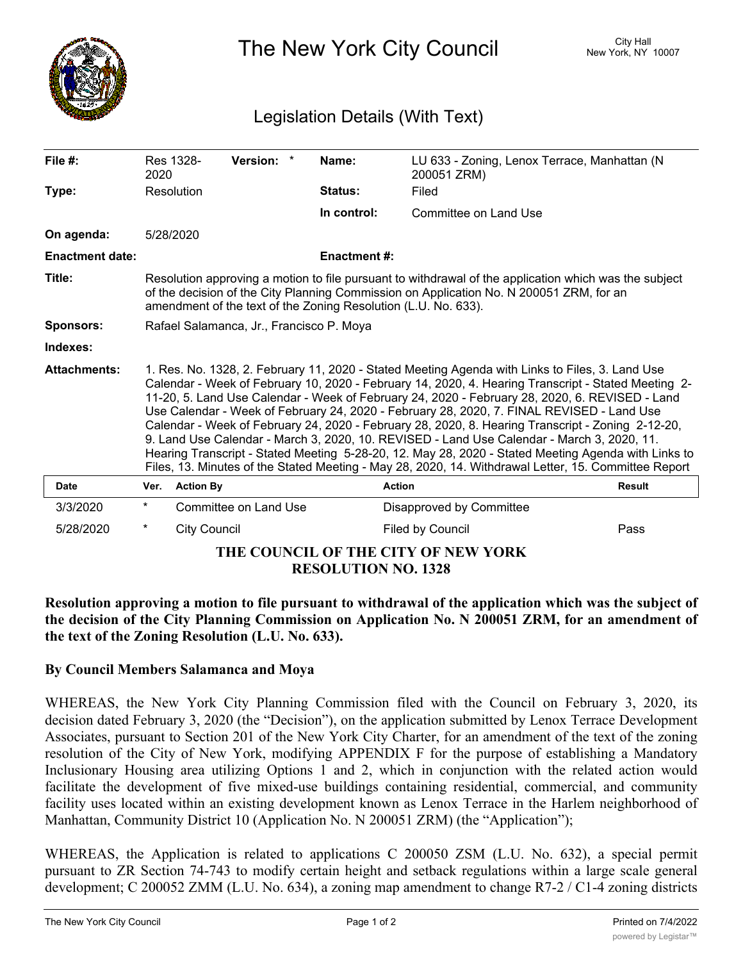

The New York City Council New York, NY 10007

## Legislation Details (With Text)

| File $#$ :                          | 2020                                                                                                                                                                                                                                                                                                                                                                                                                                                                                                                                                                                                                                                                                                                                                                                                                    | Res 1328-           | Version: *            |  | Name:               | LU 633 - Zoning, Lenox Terrace, Manhattan (N<br>200051 ZRM) |               |
|-------------------------------------|-------------------------------------------------------------------------------------------------------------------------------------------------------------------------------------------------------------------------------------------------------------------------------------------------------------------------------------------------------------------------------------------------------------------------------------------------------------------------------------------------------------------------------------------------------------------------------------------------------------------------------------------------------------------------------------------------------------------------------------------------------------------------------------------------------------------------|---------------------|-----------------------|--|---------------------|-------------------------------------------------------------|---------------|
| Type:                               |                                                                                                                                                                                                                                                                                                                                                                                                                                                                                                                                                                                                                                                                                                                                                                                                                         | Resolution          |                       |  | Status:             | Filed                                                       |               |
|                                     |                                                                                                                                                                                                                                                                                                                                                                                                                                                                                                                                                                                                                                                                                                                                                                                                                         |                     |                       |  | In control:         | Committee on Land Use                                       |               |
| On agenda:                          |                                                                                                                                                                                                                                                                                                                                                                                                                                                                                                                                                                                                                                                                                                                                                                                                                         | 5/28/2020           |                       |  |                     |                                                             |               |
| <b>Enactment date:</b>              |                                                                                                                                                                                                                                                                                                                                                                                                                                                                                                                                                                                                                                                                                                                                                                                                                         |                     |                       |  | <b>Enactment #:</b> |                                                             |               |
| Title:                              | Resolution approving a motion to file pursuant to withdrawal of the application which was the subject<br>of the decision of the City Planning Commission on Application No. N 200051 ZRM, for an<br>amendment of the text of the Zoning Resolution (L.U. No. 633).                                                                                                                                                                                                                                                                                                                                                                                                                                                                                                                                                      |                     |                       |  |                     |                                                             |               |
| <b>Sponsors:</b>                    | Rafael Salamanca, Jr., Francisco P. Moya                                                                                                                                                                                                                                                                                                                                                                                                                                                                                                                                                                                                                                                                                                                                                                                |                     |                       |  |                     |                                                             |               |
| Indexes:                            |                                                                                                                                                                                                                                                                                                                                                                                                                                                                                                                                                                                                                                                                                                                                                                                                                         |                     |                       |  |                     |                                                             |               |
| <b>Attachments:</b>                 | 1. Res. No. 1328, 2. February 11, 2020 - Stated Meeting Agenda with Links to Files, 3. Land Use<br>Calendar - Week of February 10, 2020 - February 14, 2020, 4. Hearing Transcript - Stated Meeting 2-<br>11-20, 5. Land Use Calendar - Week of February 24, 2020 - February 28, 2020, 6. REVISED - Land<br>Use Calendar - Week of February 24, 2020 - February 28, 2020, 7. FINAL REVISED - Land Use<br>Calendar - Week of February 24, 2020 - February 28, 2020, 8. Hearing Transcript - Zoning 2-12-20,<br>9. Land Use Calendar - March 3, 2020, 10. REVISED - Land Use Calendar - March 3, 2020, 11.<br>Hearing Transcript - Stated Meeting 5-28-20, 12. May 28, 2020 - Stated Meeting Agenda with Links to<br>Files, 13. Minutes of the Stated Meeting - May 28, 2020, 14. Withdrawal Letter, 15. Committee Report |                     |                       |  |                     |                                                             |               |
| Date                                | Ver.                                                                                                                                                                                                                                                                                                                                                                                                                                                                                                                                                                                                                                                                                                                                                                                                                    | <b>Action By</b>    |                       |  | <b>Action</b>       |                                                             | <b>Result</b> |
| 3/3/2020                            | $^\star$                                                                                                                                                                                                                                                                                                                                                                                                                                                                                                                                                                                                                                                                                                                                                                                                                |                     | Committee on Land Use |  |                     | Disapproved by Committee                                    |               |
| 5/28/2020                           | *                                                                                                                                                                                                                                                                                                                                                                                                                                                                                                                                                                                                                                                                                                                                                                                                                       | <b>City Council</b> |                       |  |                     | Filed by Council                                            | Pass          |
| THE COUNCIL OF THE CITY OF NEW YORK |                                                                                                                                                                                                                                                                                                                                                                                                                                                                                                                                                                                                                                                                                                                                                                                                                         |                     |                       |  |                     |                                                             |               |

**RESOLUTION NO. 1328**

**Resolution approving a motion to file pursuant to withdrawal of the application which was the subject of the decision of the City Planning Commission on Application No. N 200051 ZRM, for an amendment of the text of the Zoning Resolution (L.U. No. 633).**

## **By Council Members Salamanca and Moya**

WHEREAS, the New York City Planning Commission filed with the Council on February 3, 2020, its decision dated February 3, 2020 (the "Decision"), on the application submitted by Lenox Terrace Development Associates, pursuant to Section 201 of the New York City Charter, for an amendment of the text of the zoning resolution of the City of New York, modifying APPENDIX F for the purpose of establishing a Mandatory Inclusionary Housing area utilizing Options 1 and 2, which in conjunction with the related action would facilitate the development of five mixed-use buildings containing residential, commercial, and community facility uses located within an existing development known as Lenox Terrace in the Harlem neighborhood of Manhattan, Community District 10 (Application No. N 200051 ZRM) (the "Application");

WHEREAS, the Application is related to applications C 200050 ZSM (L.U. No. 632), a special permit pursuant to ZR Section 74-743 to modify certain height and setback regulations within a large scale general development; C 200052 ZMM (L.U. No. 634), a zoning map amendment to change R7-2 / C1-4 zoning districts